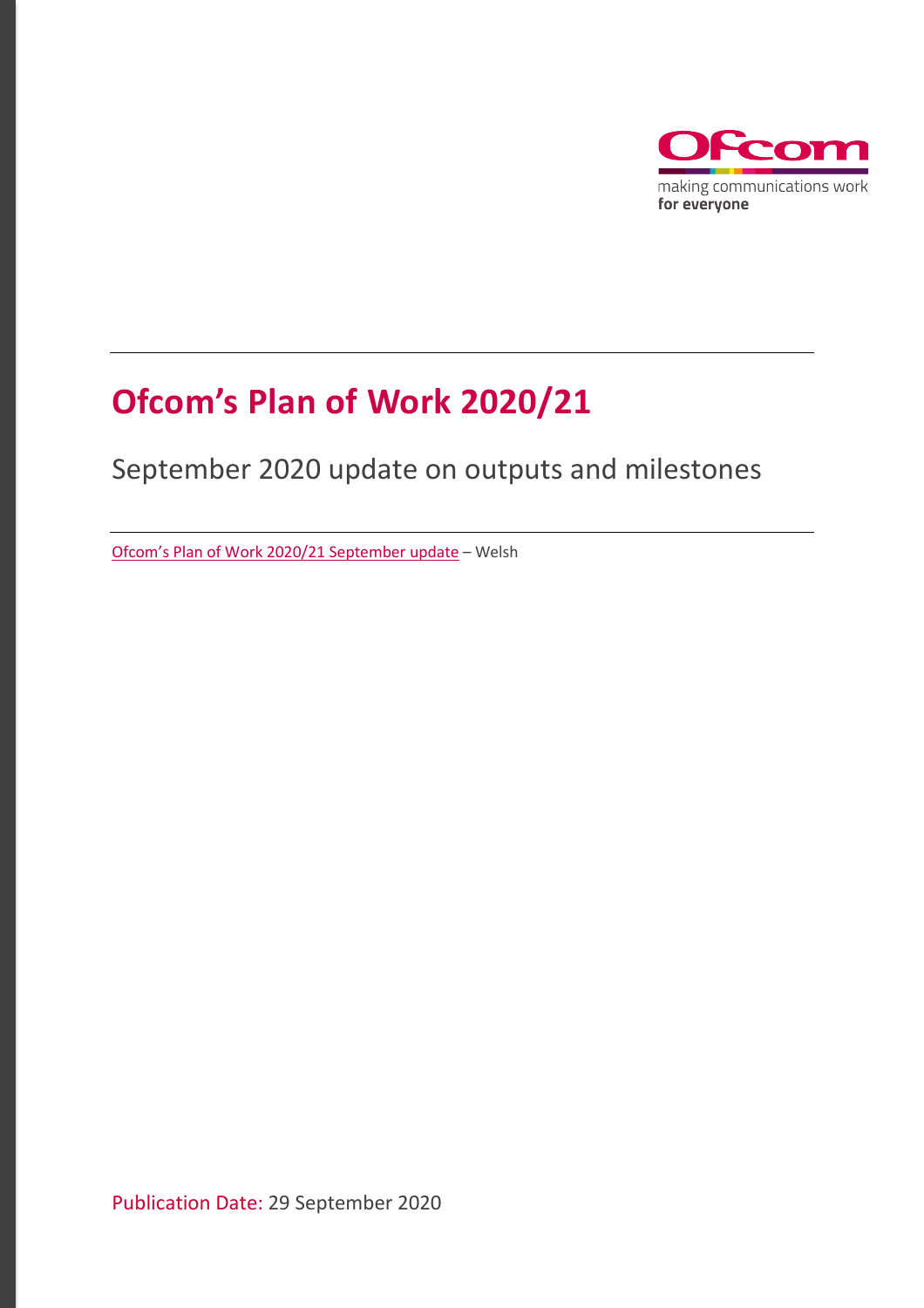

# **Ofcom's Plan of Work 2020/21**

# September 2020 update on outputs and milestones

[Ofcom's Plan of Work 2020/21](https://www.ofcom.org.uk/__data/assets/pdf_file/0017/203723/pow-2020-21-sept-update-welsh.pdf) September update – Welsh

Publication Date: 29 September 2020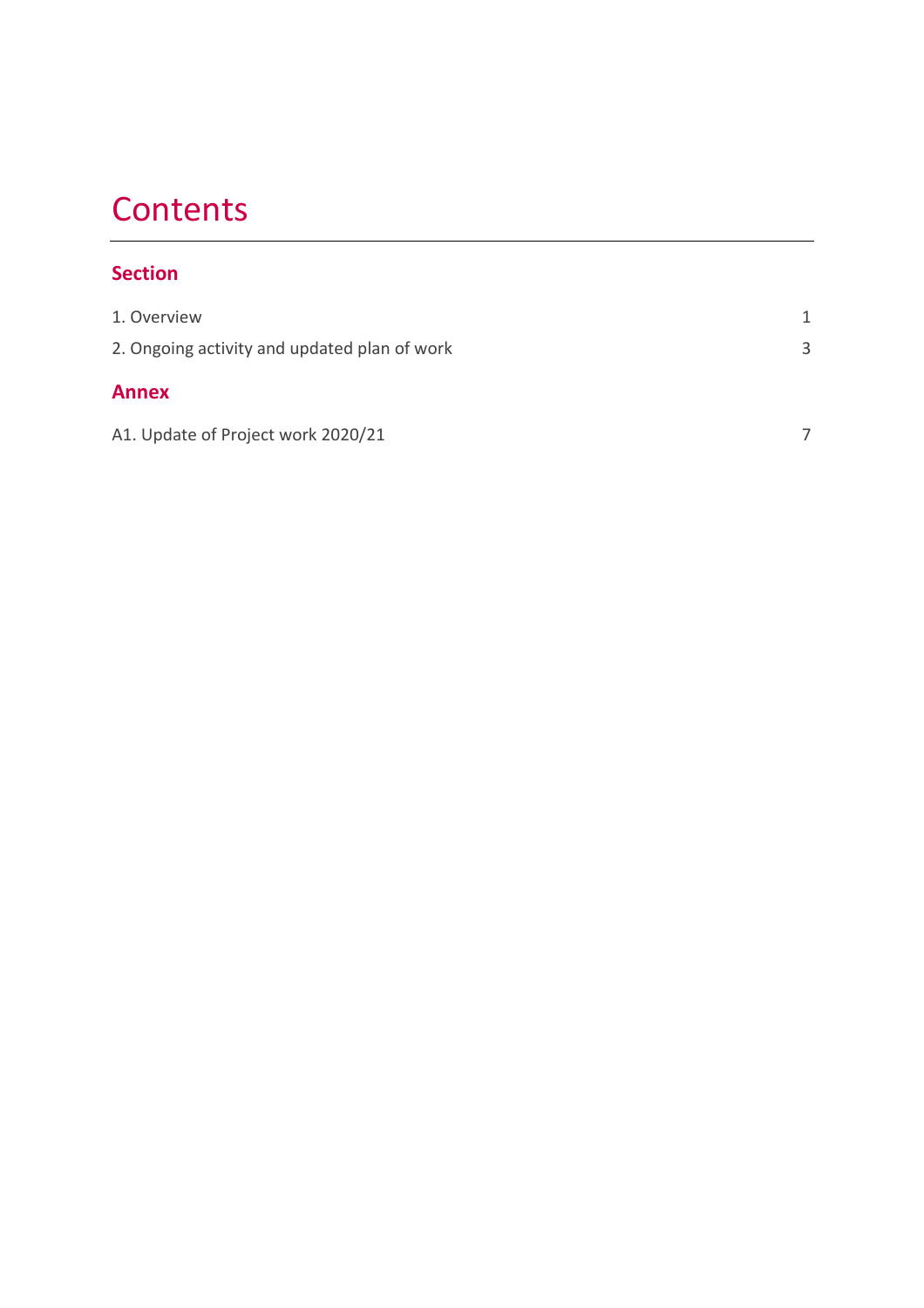# **Contents**

# **Section**

| 1. Overview                                  | 1 |
|----------------------------------------------|---|
| 2. Ongoing activity and updated plan of work | 3 |
| <b>Annex</b>                                 |   |
| A1. Update of Project work 2020/21           |   |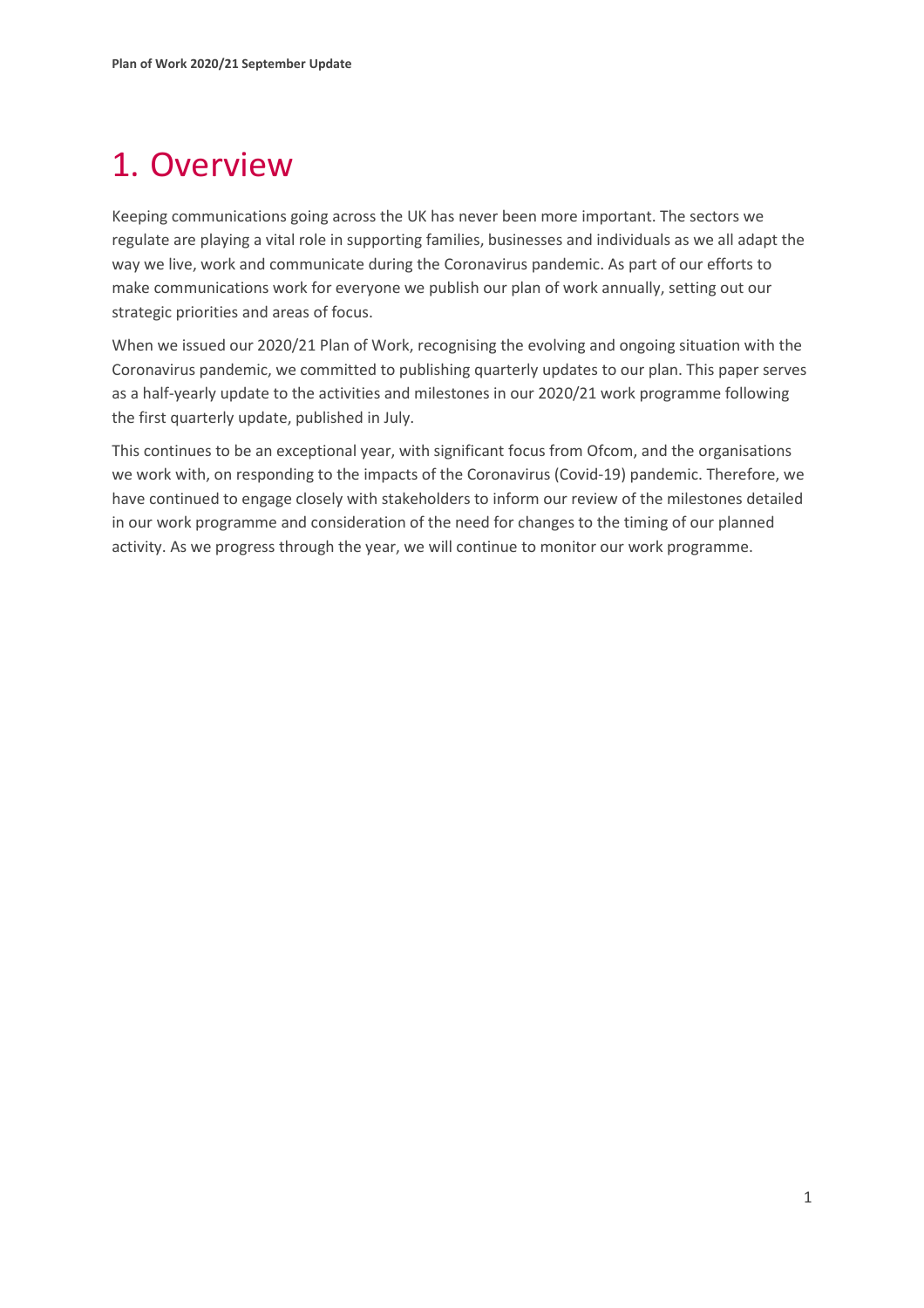# <span id="page-2-0"></span>1. Overview

Keeping communications going across the UK has never been more important. The sectors we regulate are playing a vital role in supporting families, businesses and individuals as we all adapt the way we live, work and communicate during the Coronavirus pandemic. As part of our efforts to make communications work for everyone we publish our plan of work annually, setting out our strategic priorities and areas of focus.

When we issued our 2020/21 Plan of Work, recognising the evolving and ongoing situation with the Coronavirus pandemic, we committed to publishing quarterly updates to our plan. This paper serves as a half-yearly update to the activities and milestones in our 2020/21 work programme following the first quarterly update, published in July.

This continues to be an exceptional year, with significant focus from Ofcom, and the organisations we work with, on responding to the impacts of the Coronavirus (Covid-19) pandemic. Therefore, we have continued to engage closely with stakeholders to inform our review of the milestones detailed in our work programme and consideration of the need for changes to the timing of our planned activity. As we progress through the year, we will continue to monitor our work programme.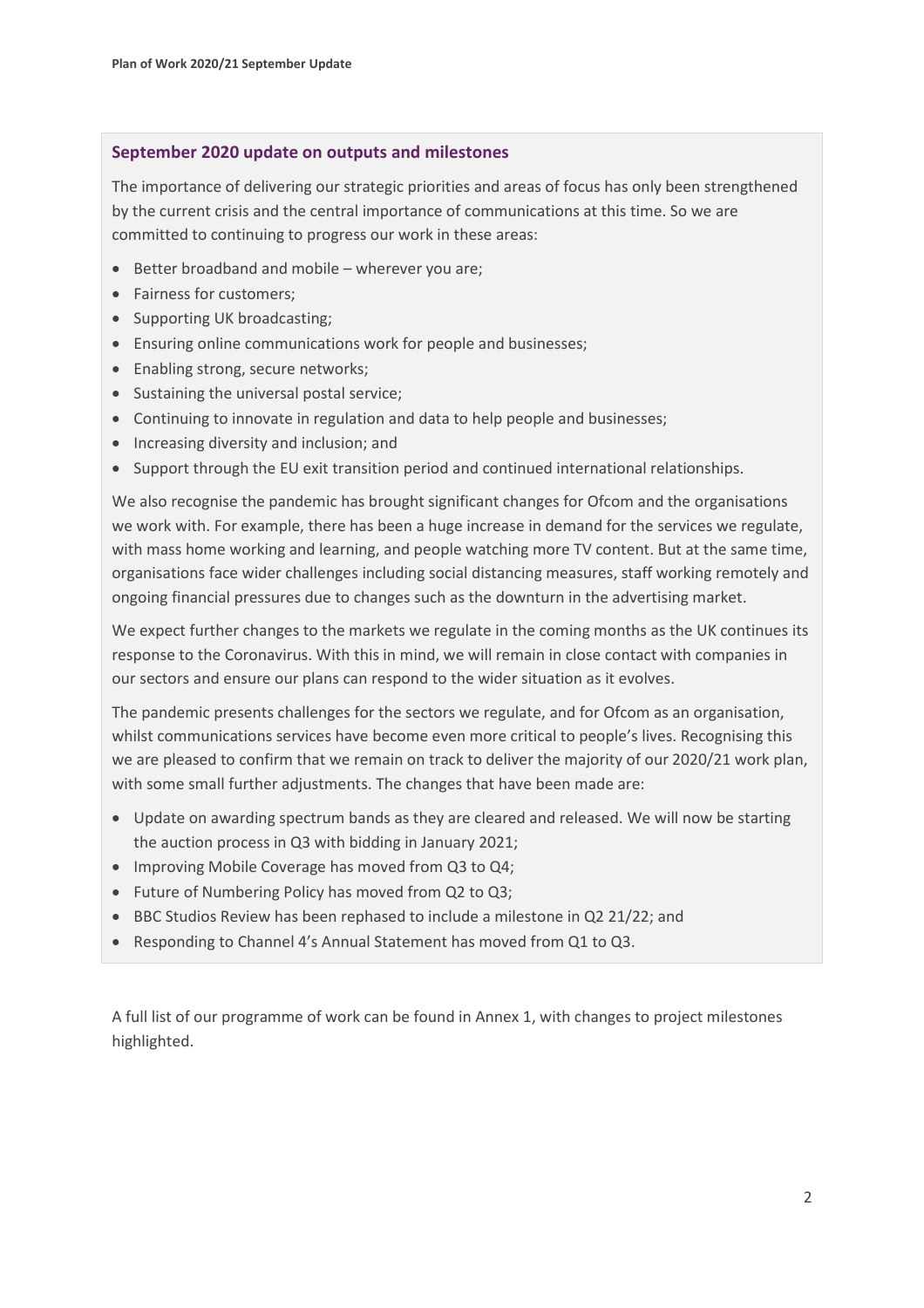#### **September 2020 update on outputs and milestones**

The importance of delivering our strategic priorities and areas of focus has only been strengthened by the current crisis and the central importance of communications at this time. So we are committed to continuing to progress our work in these areas:

- Better broadband and mobile wherever you are;
- Fairness for customers;
- Supporting UK broadcasting;
- Ensuring online communications work for people and businesses;
- Enabling strong, secure networks;
- Sustaining the universal postal service;
- Continuing to innovate in regulation and data to help people and businesses;
- Increasing diversity and inclusion; and
- Support through the EU exit transition period and continued international relationships.

We also recognise the pandemic has brought significant changes for Ofcom and the organisations we work with. For example, there has been a huge increase in demand for the services we regulate, with mass home working and learning, and people watching more TV content. But at the same time, organisations face wider challenges including social distancing measures, staff working remotely and ongoing financial pressures due to changes such as the downturn in the advertising market.

We expect further changes to the markets we regulate in the coming months as the UK continues its response to the Coronavirus. With this in mind, we will remain in close contact with companies in our sectors and ensure our plans can respond to the wider situation as it evolves.

The pandemic presents challenges for the sectors we regulate, and for Ofcom as an organisation, whilst communications services have become even more critical to people's lives. Recognising this we are pleased to confirm that we remain on track to deliver the majority of our 2020/21 work plan, with some small further adjustments. The changes that have been made are:

- Update on awarding spectrum bands as they are cleared and released. We will now be starting the auction process in Q3 with bidding in January 2021;
- Improving Mobile Coverage has moved from Q3 to Q4;
- Future of Numbering Policy has moved from Q2 to Q3;
- BBC Studios Review has been rephased to include a milestone in Q2 21/22; and
- Responding to Channel 4's Annual Statement has moved from Q1 to Q3.

A full list of our programme of work can be found in Annex 1, with changes to project milestones highlighted.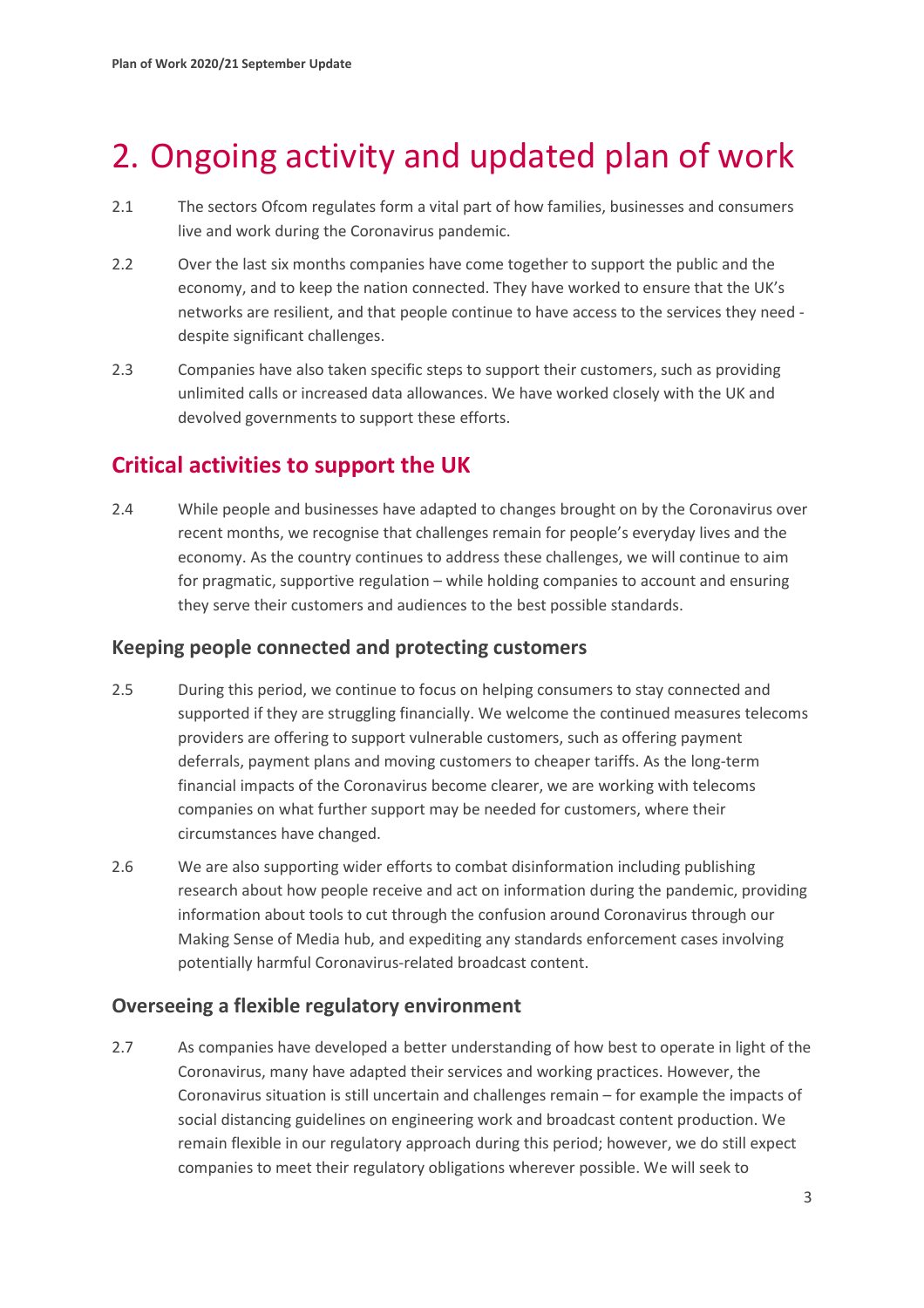# <span id="page-4-0"></span>2. Ongoing activity and updated plan of work

- 2.1 The sectors Ofcom regulates form a vital part of how families, businesses and consumers live and work during the Coronavirus pandemic.
- 2.2 Over the last six months companies have come together to support the public and the economy, and to keep the nation connected. They have worked to ensure that the UK's networks are resilient, and that people continue to have access to the services they need despite significant challenges.
- 2.3 Companies have also taken specific steps to support their customers, such as providing unlimited calls or increased data allowances. We have worked closely with the UK and devolved governments to support these efforts.

# **Critical activities to support the UK**

2.4 While people and businesses have adapted to changes brought on by the Coronavirus over recent months, we recognise that challenges remain for people's everyday lives and the economy. As the country continues to address these challenges, we will continue to aim for pragmatic, supportive regulation – while holding companies to account and ensuring they serve their customers and audiences to the best possible standards.

## **Keeping people connected and protecting customers**

- 2.5 During this period, we continue to focus on helping consumers to stay connected and supported if they are struggling financially. We welcome the continued measures telecoms providers are offering to support vulnerable customers, such as offering payment deferrals, payment plans and moving customers to cheaper tariffs. As the long-term financial impacts of the Coronavirus become clearer, we are working with telecoms companies on what further support may be needed for customers, where their circumstances have changed.
- 2.6 We are also supporting wider efforts to combat disinformation including publishing research about how people receive and act on information during the pandemic, providing information about tools to cut through the confusion around Coronavirus through our Making Sense of Media hub, and expediting any standards enforcement cases involving potentially harmful Coronavirus-related broadcast content.

## **Overseeing a flexible regulatory environment**

2.7 As companies have developed a better understanding of how best to operate in light of the Coronavirus, many have adapted their services and working practices. However, the Coronavirus situation is still uncertain and challenges remain – for example the impacts of social distancing guidelines on engineering work and broadcast content production. We remain flexible in our regulatory approach during this period; however, we do still expect companies to meet their regulatory obligations wherever possible. We will seek to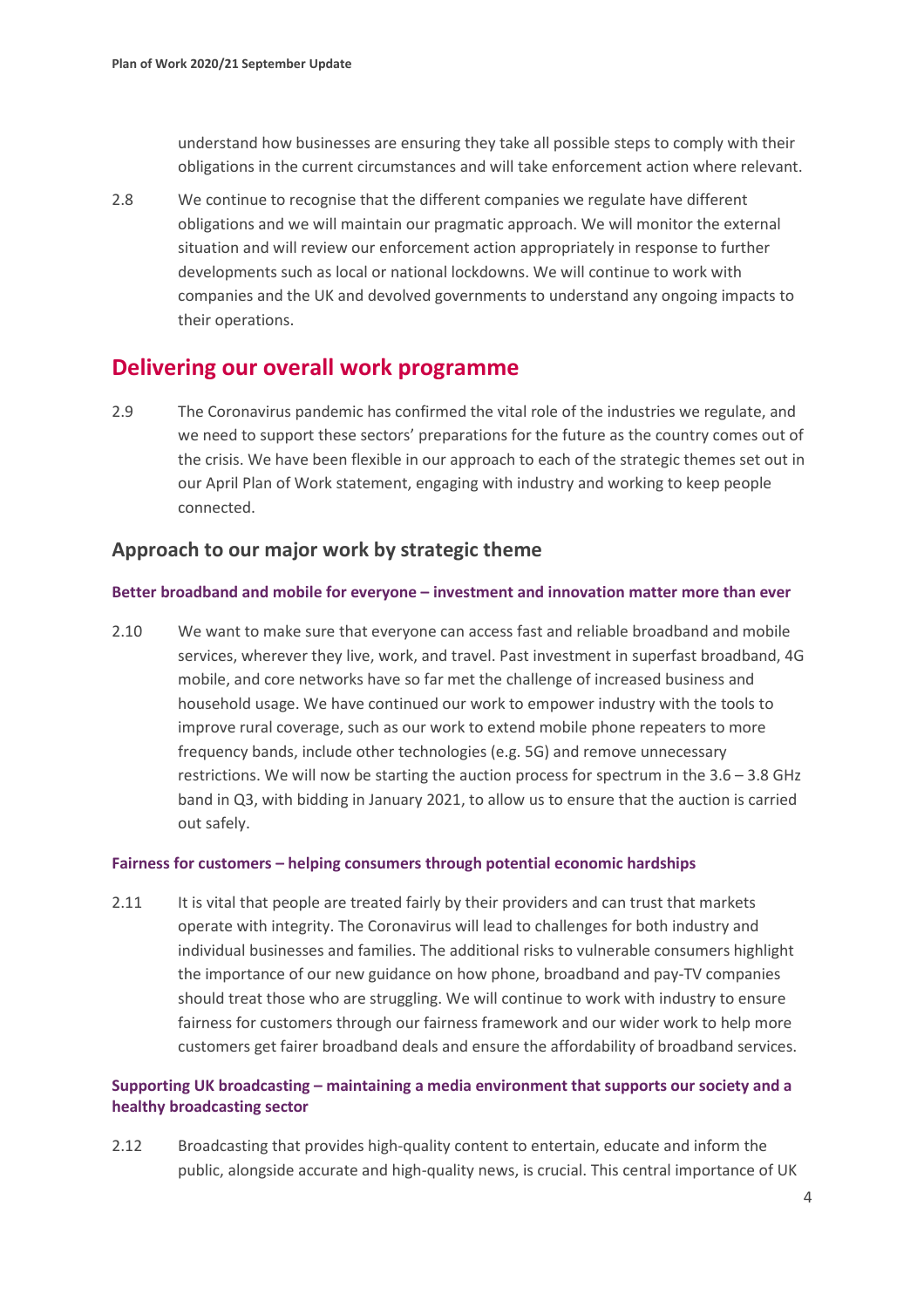understand how businesses are ensuring they take all possible steps to comply with their obligations in the current circumstances and will take enforcement action where relevant.

2.8 We continue to recognise that the different companies we regulate have different obligations and we will maintain our pragmatic approach. We will monitor the external situation and will review our enforcement action appropriately in response to further developments such as local or national lockdowns. We will continue to work with companies and the UK and devolved governments to understand any ongoing impacts to their operations.

## **Delivering our overall work programme**

2.9 The Coronavirus pandemic has confirmed the vital role of the industries we regulate, and we need to support these sectors' preparations for the future as the country comes out of the crisis. We have been flexible in our approach to each of the strategic themes set out in our April Plan of Work statement, engaging with industry and working to keep people connected.

## **Approach to our major work by strategic theme**

#### **Better broadband and mobile for everyone – investment and innovation matter more than ever**

2.10 We want to make sure that everyone can access fast and reliable broadband and mobile services, wherever they live, work, and travel. Past investment in superfast broadband, 4G mobile, and core networks have so far met the challenge of increased business and household usage. We have continued our work to empower industry with the tools to improve rural coverage, such as our work to extend mobile phone repeaters to more frequency bands, include other technologies (e.g. 5G) and remove unnecessary restrictions. We will now be starting the auction process for spectrum in the 3.6 – 3.8 GHz band in Q3, with bidding in January 2021, to allow us to ensure that the auction is carried out safely.

#### **Fairness for customers – helping consumers through potential economic hardships**

2.11 It is vital that people are treated fairly by their providers and can trust that markets operate with integrity. The Coronavirus will lead to challenges for both industry and individual businesses and families. The additional risks to vulnerable consumers highlight the importance of our new guidance on how phone, broadband and pay-TV companies should treat those who are struggling. We will continue to work with industry to ensure fairness for customers through our fairness framework and our wider work to help more customers get fairer broadband deals and ensure the affordability of broadband services.

### **Supporting UK broadcasting – maintaining a media environment that supports our society and a healthy broadcasting sector**

2.12 Broadcasting that provides high-quality content to entertain, educate and inform the public, alongside accurate and high-quality news, is crucial. This central importance of UK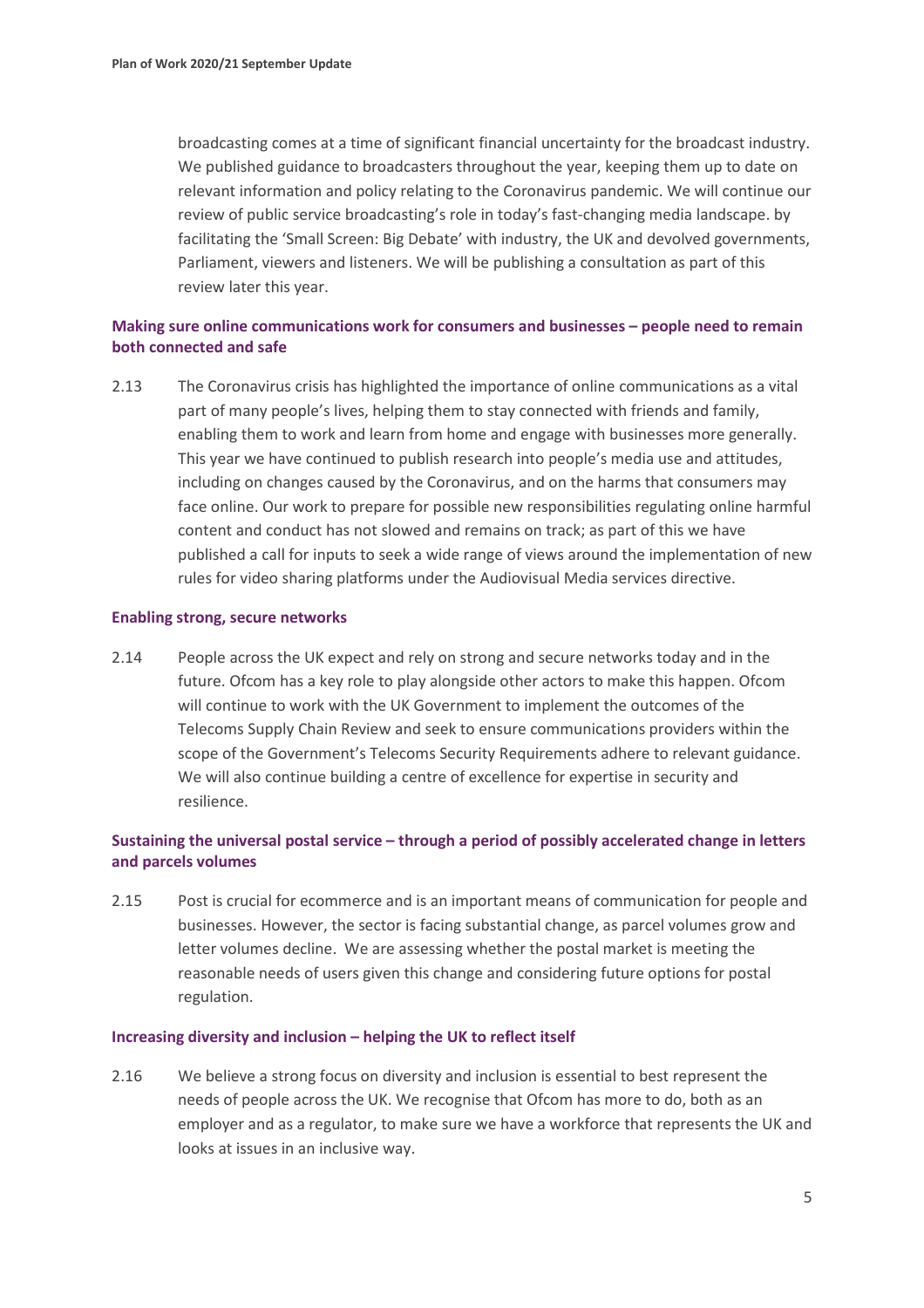broadcasting comes at a time of significant financial uncertainty for the broadcast industry. We published guidance to broadcasters throughout the year, keeping them up to date on relevant information and policy relating to the Coronavirus pandemic. We will continue our review of public service broadcasting's role in today's fast-changing media landscape. by facilitating the 'Small Screen: Big Debate' with industry, the UK and devolved governments, Parliament, viewers and listeners. We will be publishing a consultation as part of this review later this year.

### **Making sure online communications work for consumers and businesses – people need to remain both connected and safe**

2.13 The Coronavirus crisis has highlighted the importance of online communications as a vital part of many people's lives, helping them to stay connected with friends and family, enabling them to work and learn from home and engage with businesses more generally. This year we have continued to publish research into people's media use and attitudes, including on changes caused by the Coronavirus, and on the harms that consumers may face online. Our work to prepare for possible new responsibilities regulating online harmful content and conduct has not slowed and remains on track; as part of this we have published a call for inputs to seek a wide range of views around the implementation of new rules for video sharing platforms under the Audiovisual Media services directive.

#### **Enabling strong, secure networks**

2.14 People across the UK expect and rely on strong and secure networks today and in the future. Ofcom has a key role to play alongside other actors to make this happen. Ofcom will continue to work with the UK Government to implement the outcomes of the Telecoms Supply Chain Review and seek to ensure communications providers within the scope of the Government's Telecoms Security Requirements adhere to relevant guidance. We will also continue building a centre of excellence for expertise in security and resilience.

### **Sustaining the universal postal service – through a period of possibly accelerated change in letters and parcels volumes**

2.15 Post is crucial for ecommerce and is an important means of communication for people and businesses. However, the sector is facing substantial change, as parcel volumes grow and letter volumes decline. We are assessing whether the postal market is meeting the reasonable needs of users given this change and considering future options for postal regulation.

#### **Increasing diversity and inclusion – helping the UK to reflect itself**

2.16 We believe a strong focus on diversity and inclusion is essential to best represent the needs of people across the UK. We recognise that Ofcom has more to do, both as an employer and as a regulator, to make sure we have a workforce that represents the UK and looks at issues in an inclusive way.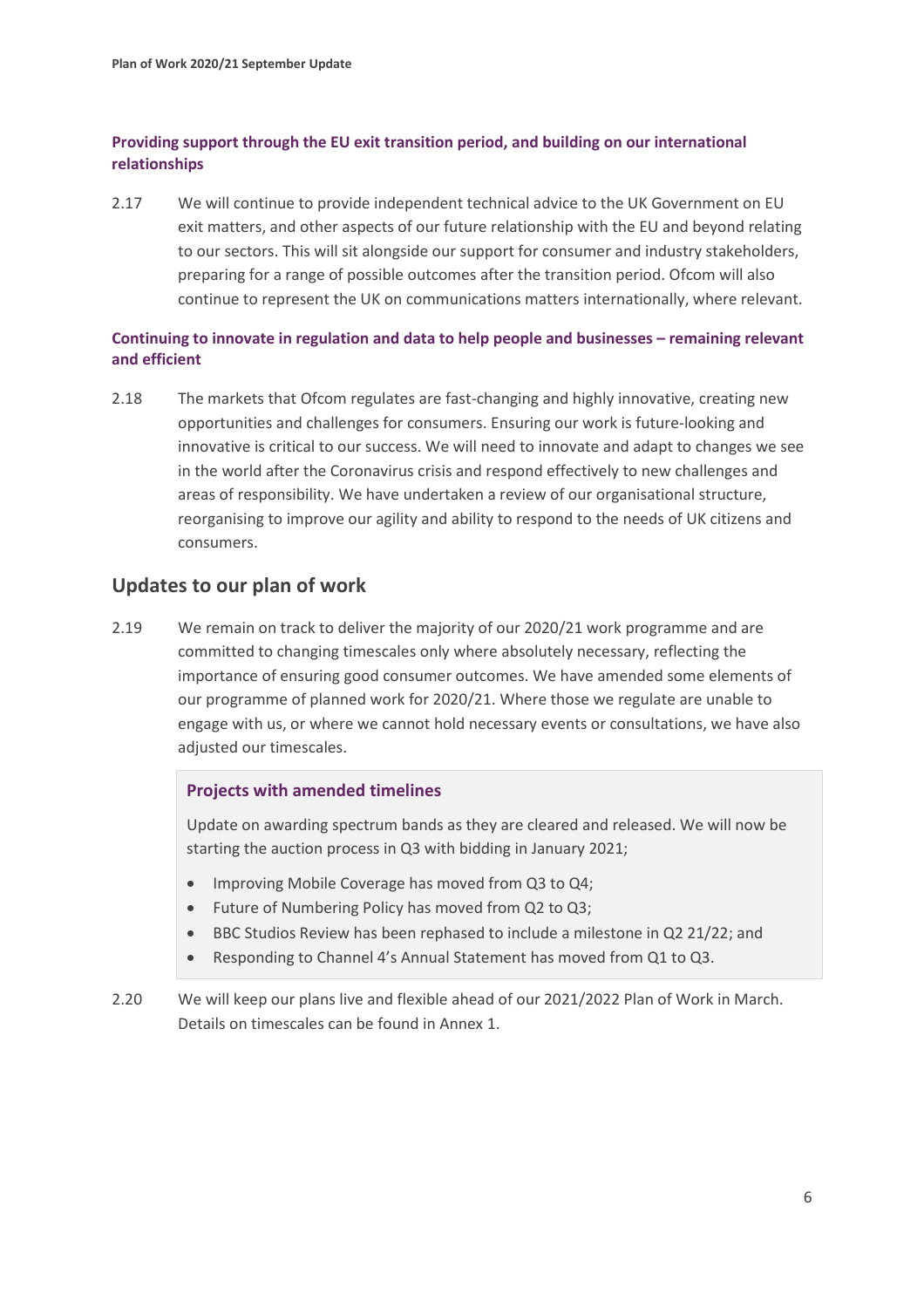### **Providing support through the EU exit transition period, and building on our international relationships**

2.17 We will continue to provide independent technical advice to the UK Government on EU exit matters, and other aspects of our future relationship with the EU and beyond relating to our sectors. This will sit alongside our support for consumer and industry stakeholders, preparing for a range of possible outcomes after the transition period. Ofcom will also continue to represent the UK on communications matters internationally, where relevant.

### **Continuing to innovate in regulation and data to help people and businesses – remaining relevant and efficient**

2.18 The markets that Ofcom regulates are fast-changing and highly innovative, creating new opportunities and challenges for consumers. Ensuring our work is future-looking and innovative is critical to our success. We will need to innovate and adapt to changes we see in the world after the Coronavirus crisis and respond effectively to new challenges and areas of responsibility. We have undertaken a review of our organisational structure, reorganising to improve our agility and ability to respond to the needs of UK citizens and consumers.

## **Updates to our plan of work**

2.19 We remain on track to deliver the majority of our 2020/21 work programme and are committed to changing timescales only where absolutely necessary, reflecting the importance of ensuring good consumer outcomes. We have amended some elements of our programme of planned work for 2020/21. Where those we regulate are unable to engage with us, or where we cannot hold necessary events or consultations, we have also adjusted our timescales.

### **Projects with amended timelines**

Update on awarding spectrum bands as they are cleared and released. We will now be starting the auction process in Q3 with bidding in January 2021;

- Improving Mobile Coverage has moved from Q3 to Q4;
- Future of Numbering Policy has moved from Q2 to Q3;
- BBC Studios Review has been rephased to include a milestone in Q2 21/22; and
- Responding to Channel 4's Annual Statement has moved from Q1 to Q3.
- 2.20 We will keep our plans live and flexible ahead of our 2021/2022 Plan of Work in March. Details on timescales can be found in Annex 1.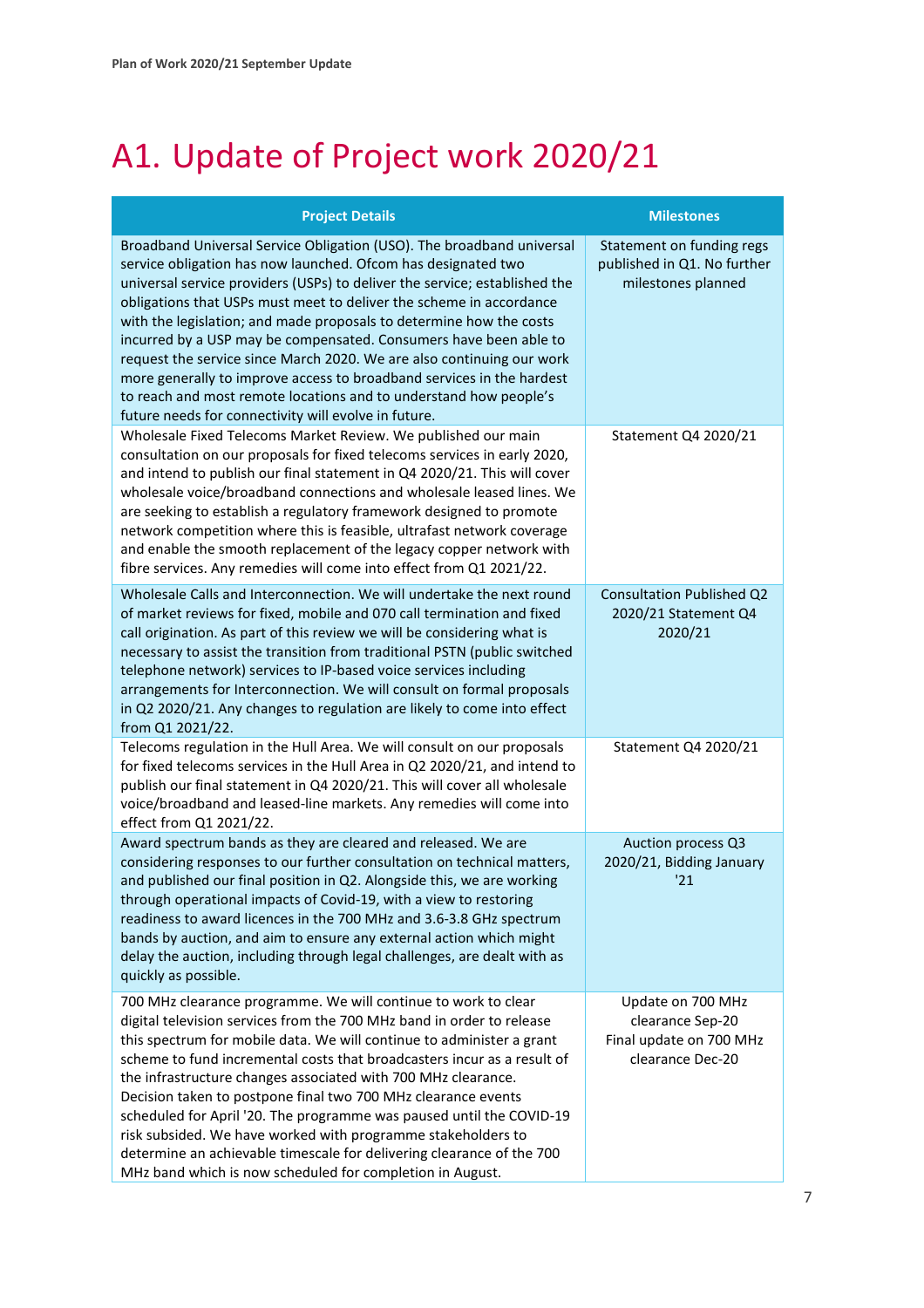# <span id="page-8-0"></span>A1. Update of Project work 2020/21

| <b>Project Details</b>                                                                                                                                                                                                                                                                                                                                                                                                                                                                                                                                                                                                                                                                                                 | <b>Milestones</b>                                                                    |
|------------------------------------------------------------------------------------------------------------------------------------------------------------------------------------------------------------------------------------------------------------------------------------------------------------------------------------------------------------------------------------------------------------------------------------------------------------------------------------------------------------------------------------------------------------------------------------------------------------------------------------------------------------------------------------------------------------------------|--------------------------------------------------------------------------------------|
| Broadband Universal Service Obligation (USO). The broadband universal<br>service obligation has now launched. Ofcom has designated two<br>universal service providers (USPs) to deliver the service; established the<br>obligations that USPs must meet to deliver the scheme in accordance<br>with the legislation; and made proposals to determine how the costs<br>incurred by a USP may be compensated. Consumers have been able to<br>request the service since March 2020. We are also continuing our work<br>more generally to improve access to broadband services in the hardest<br>to reach and most remote locations and to understand how people's<br>future needs for connectivity will evolve in future. | Statement on funding regs<br>published in Q1. No further<br>milestones planned       |
| Wholesale Fixed Telecoms Market Review. We published our main<br>consultation on our proposals for fixed telecoms services in early 2020,<br>and intend to publish our final statement in Q4 2020/21. This will cover<br>wholesale voice/broadband connections and wholesale leased lines. We<br>are seeking to establish a regulatory framework designed to promote<br>network competition where this is feasible, ultrafast network coverage<br>and enable the smooth replacement of the legacy copper network with<br>fibre services. Any remedies will come into effect from Q1 2021/22.                                                                                                                           | Statement Q4 2020/21                                                                 |
| Wholesale Calls and Interconnection. We will undertake the next round<br>of market reviews for fixed, mobile and 070 call termination and fixed<br>call origination. As part of this review we will be considering what is<br>necessary to assist the transition from traditional PSTN (public switched<br>telephone network) services to IP-based voice services including<br>arrangements for Interconnection. We will consult on formal proposals<br>in Q2 2020/21. Any changes to regulation are likely to come into effect<br>from Q1 2021/22.                                                                                                                                                                    | <b>Consultation Published Q2</b><br>2020/21 Statement Q4<br>2020/21                  |
| Telecoms regulation in the Hull Area. We will consult on our proposals<br>for fixed telecoms services in the Hull Area in Q2 2020/21, and intend to<br>publish our final statement in Q4 2020/21. This will cover all wholesale<br>voice/broadband and leased-line markets. Any remedies will come into<br>effect from Q1 2021/22.                                                                                                                                                                                                                                                                                                                                                                                     | Statement Q4 2020/21                                                                 |
| Award spectrum bands as they are cleared and released. We are<br>considering responses to our further consultation on technical matters,<br>and published our final position in Q2. Alongside this, we are working<br>through operational impacts of Covid-19, with a view to restoring<br>readiness to award licences in the 700 MHz and 3.6-3.8 GHz spectrum<br>bands by auction, and aim to ensure any external action which might<br>delay the auction, including through legal challenges, are dealt with as<br>quickly as possible.                                                                                                                                                                              | Auction process Q3<br>2020/21, Bidding January<br>'21                                |
| 700 MHz clearance programme. We will continue to work to clear<br>digital television services from the 700 MHz band in order to release<br>this spectrum for mobile data. We will continue to administer a grant<br>scheme to fund incremental costs that broadcasters incur as a result of<br>the infrastructure changes associated with 700 MHz clearance.<br>Decision taken to postpone final two 700 MHz clearance events<br>scheduled for April '20. The programme was paused until the COVID-19<br>risk subsided. We have worked with programme stakeholders to<br>determine an achievable timescale for delivering clearance of the 700<br>MHz band which is now scheduled for completion in August.            | Update on 700 MHz<br>clearance Sep-20<br>Final update on 700 MHz<br>clearance Dec-20 |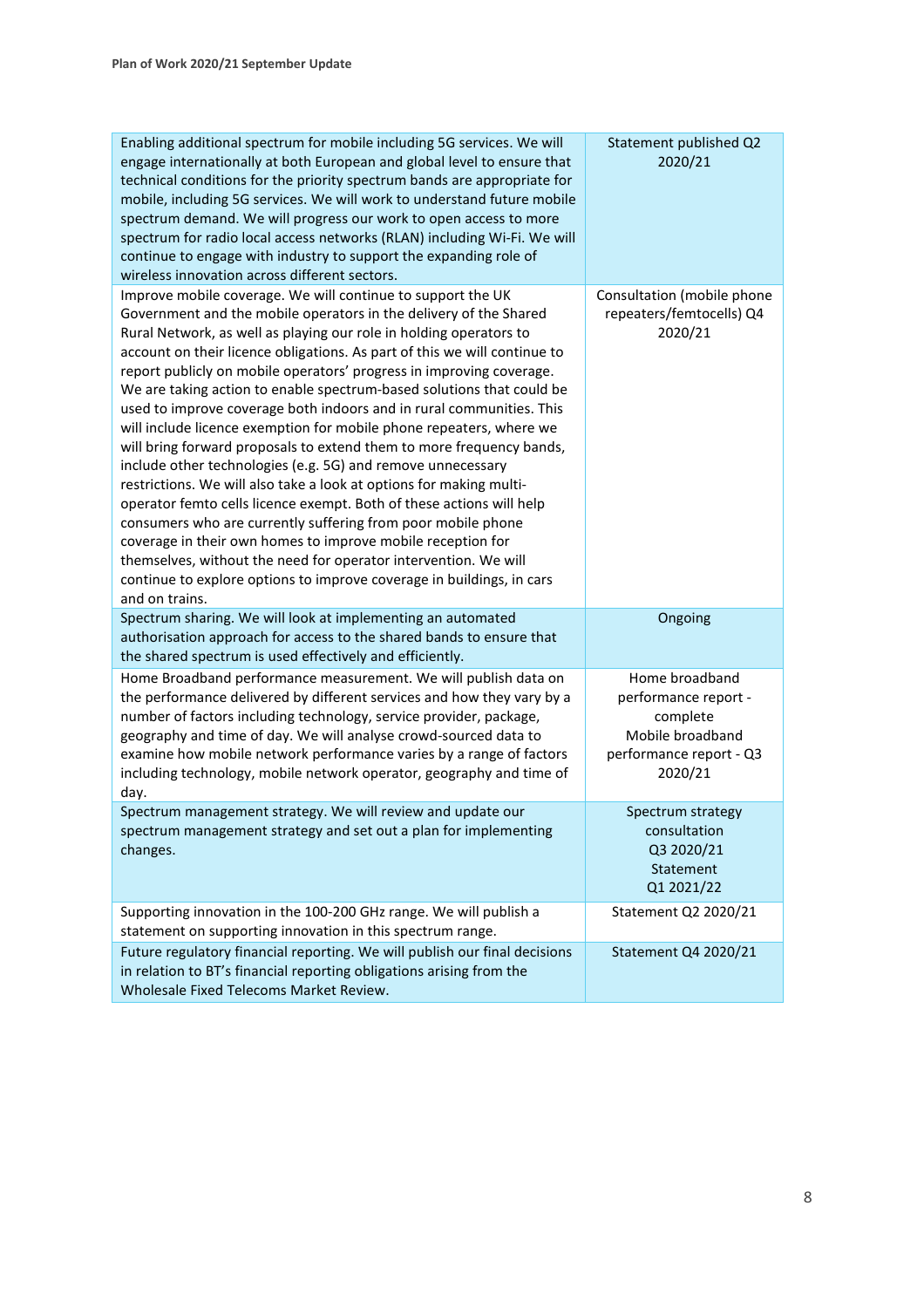| Enabling additional spectrum for mobile including 5G services. We will<br>engage internationally at both European and global level to ensure that<br>technical conditions for the priority spectrum bands are appropriate for<br>mobile, including 5G services. We will work to understand future mobile<br>spectrum demand. We will progress our work to open access to more<br>spectrum for radio local access networks (RLAN) including Wi-Fi. We will<br>continue to engage with industry to support the expanding role of<br>wireless innovation across different sectors.                                                                                                                                                                                                                                                                                                                                                                                                                                                                                                                                                                                        | Statement published Q2<br>2020/21                                                                            |
|------------------------------------------------------------------------------------------------------------------------------------------------------------------------------------------------------------------------------------------------------------------------------------------------------------------------------------------------------------------------------------------------------------------------------------------------------------------------------------------------------------------------------------------------------------------------------------------------------------------------------------------------------------------------------------------------------------------------------------------------------------------------------------------------------------------------------------------------------------------------------------------------------------------------------------------------------------------------------------------------------------------------------------------------------------------------------------------------------------------------------------------------------------------------|--------------------------------------------------------------------------------------------------------------|
| Improve mobile coverage. We will continue to support the UK<br>Government and the mobile operators in the delivery of the Shared<br>Rural Network, as well as playing our role in holding operators to<br>account on their licence obligations. As part of this we will continue to<br>report publicly on mobile operators' progress in improving coverage.<br>We are taking action to enable spectrum-based solutions that could be<br>used to improve coverage both indoors and in rural communities. This<br>will include licence exemption for mobile phone repeaters, where we<br>will bring forward proposals to extend them to more frequency bands,<br>include other technologies (e.g. 5G) and remove unnecessary<br>restrictions. We will also take a look at options for making multi-<br>operator femto cells licence exempt. Both of these actions will help<br>consumers who are currently suffering from poor mobile phone<br>coverage in their own homes to improve mobile reception for<br>themselves, without the need for operator intervention. We will<br>continue to explore options to improve coverage in buildings, in cars<br>and on trains. | Consultation (mobile phone<br>repeaters/femtocells) Q4<br>2020/21                                            |
| Spectrum sharing. We will look at implementing an automated<br>authorisation approach for access to the shared bands to ensure that<br>the shared spectrum is used effectively and efficiently.                                                                                                                                                                                                                                                                                                                                                                                                                                                                                                                                                                                                                                                                                                                                                                                                                                                                                                                                                                        | Ongoing                                                                                                      |
| Home Broadband performance measurement. We will publish data on<br>the performance delivered by different services and how they vary by a<br>number of factors including technology, service provider, package,<br>geography and time of day. We will analyse crowd-sourced data to<br>examine how mobile network performance varies by a range of factors<br>including technology, mobile network operator, geography and time of<br>day.                                                                                                                                                                                                                                                                                                                                                                                                                                                                                                                                                                                                                                                                                                                             | Home broadband<br>performance report -<br>complete<br>Mobile broadband<br>performance report - Q3<br>2020/21 |
| Spectrum management strategy. We will review and update our<br>spectrum management strategy and set out a plan for implementing<br>changes.                                                                                                                                                                                                                                                                                                                                                                                                                                                                                                                                                                                                                                                                                                                                                                                                                                                                                                                                                                                                                            | Spectrum strategy<br>consultation<br>Q3 2020/21<br>Statement<br>Q1 2021/22                                   |
| Supporting innovation in the 100-200 GHz range. We will publish a<br>statement on supporting innovation in this spectrum range.                                                                                                                                                                                                                                                                                                                                                                                                                                                                                                                                                                                                                                                                                                                                                                                                                                                                                                                                                                                                                                        | Statement Q2 2020/21                                                                                         |
| Future regulatory financial reporting. We will publish our final decisions<br>in relation to BT's financial reporting obligations arising from the<br>Wholesale Fixed Telecoms Market Review.                                                                                                                                                                                                                                                                                                                                                                                                                                                                                                                                                                                                                                                                                                                                                                                                                                                                                                                                                                          | Statement Q4 2020/21                                                                                         |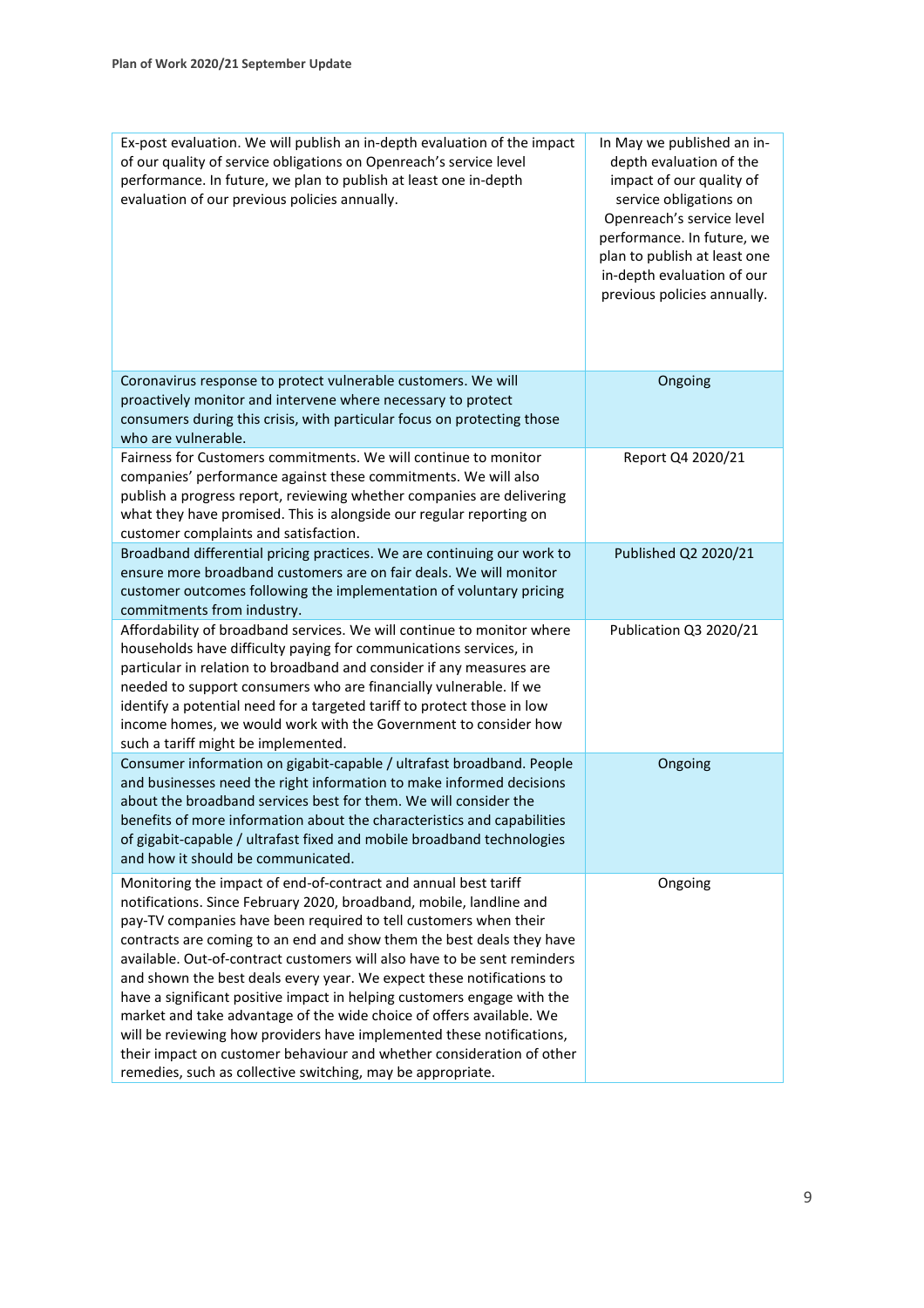| Ex-post evaluation. We will publish an in-depth evaluation of the impact<br>of our quality of service obligations on Openreach's service level<br>performance. In future, we plan to publish at least one in-depth<br>evaluation of our previous policies annually.                                                                                                                                                                                                                                                                                                                                                                                                                                                                                                                                          | In May we published an in-<br>depth evaluation of the<br>impact of our quality of<br>service obligations on<br>Openreach's service level<br>performance. In future, we<br>plan to publish at least one<br>in-depth evaluation of our<br>previous policies annually. |
|--------------------------------------------------------------------------------------------------------------------------------------------------------------------------------------------------------------------------------------------------------------------------------------------------------------------------------------------------------------------------------------------------------------------------------------------------------------------------------------------------------------------------------------------------------------------------------------------------------------------------------------------------------------------------------------------------------------------------------------------------------------------------------------------------------------|---------------------------------------------------------------------------------------------------------------------------------------------------------------------------------------------------------------------------------------------------------------------|
| Coronavirus response to protect vulnerable customers. We will<br>proactively monitor and intervene where necessary to protect<br>consumers during this crisis, with particular focus on protecting those<br>who are vulnerable.                                                                                                                                                                                                                                                                                                                                                                                                                                                                                                                                                                              | Ongoing                                                                                                                                                                                                                                                             |
| Fairness for Customers commitments. We will continue to monitor<br>companies' performance against these commitments. We will also<br>publish a progress report, reviewing whether companies are delivering<br>what they have promised. This is alongside our regular reporting on<br>customer complaints and satisfaction.                                                                                                                                                                                                                                                                                                                                                                                                                                                                                   | Report Q4 2020/21                                                                                                                                                                                                                                                   |
| Broadband differential pricing practices. We are continuing our work to<br>ensure more broadband customers are on fair deals. We will monitor<br>customer outcomes following the implementation of voluntary pricing<br>commitments from industry.                                                                                                                                                                                                                                                                                                                                                                                                                                                                                                                                                           | Published Q2 2020/21                                                                                                                                                                                                                                                |
| Affordability of broadband services. We will continue to monitor where<br>households have difficulty paying for communications services, in<br>particular in relation to broadband and consider if any measures are<br>needed to support consumers who are financially vulnerable. If we<br>identify a potential need for a targeted tariff to protect those in low<br>income homes, we would work with the Government to consider how<br>such a tariff might be implemented.                                                                                                                                                                                                                                                                                                                                | Publication Q3 2020/21                                                                                                                                                                                                                                              |
| Consumer information on gigabit-capable / ultrafast broadband. People<br>and businesses need the right information to make informed decisions<br>about the broadband services best for them. We will consider the<br>benefits of more information about the characteristics and capabilities<br>of gigabit-capable / ultrafast fixed and mobile broadband technologies<br>and how it should be communicated.                                                                                                                                                                                                                                                                                                                                                                                                 | Ongoing                                                                                                                                                                                                                                                             |
| Monitoring the impact of end-of-contract and annual best tariff<br>notifications. Since February 2020, broadband, mobile, landline and<br>pay-TV companies have been required to tell customers when their<br>contracts are coming to an end and show them the best deals they have<br>available. Out-of-contract customers will also have to be sent reminders<br>and shown the best deals every year. We expect these notifications to<br>have a significant positive impact in helping customers engage with the<br>market and take advantage of the wide choice of offers available. We<br>will be reviewing how providers have implemented these notifications,<br>their impact on customer behaviour and whether consideration of other<br>remedies, such as collective switching, may be appropriate. | Ongoing                                                                                                                                                                                                                                                             |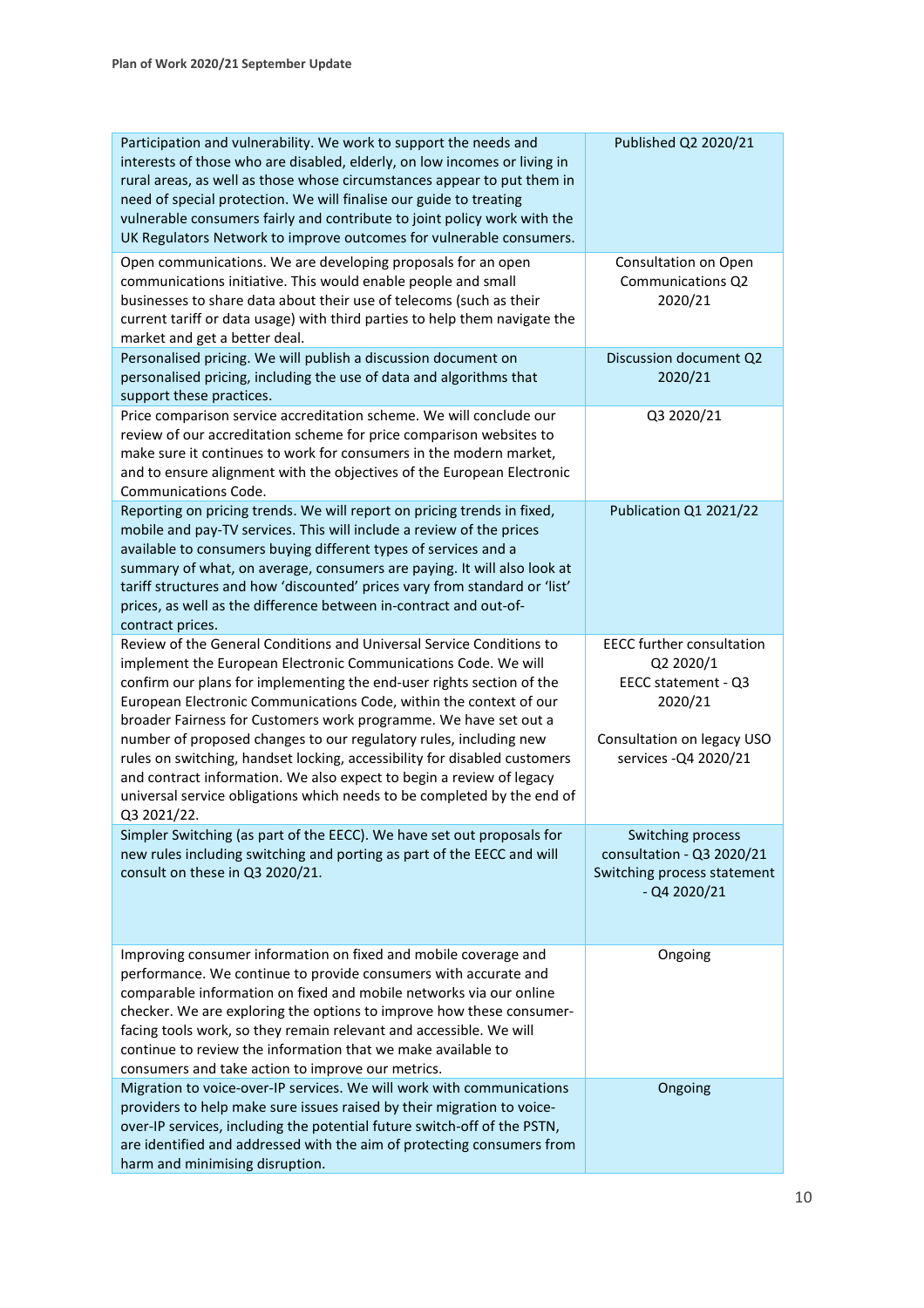| Participation and vulnerability. We work to support the needs and<br>interests of those who are disabled, elderly, on low incomes or living in<br>rural areas, as well as those whose circumstances appear to put them in<br>need of special protection. We will finalise our guide to treating<br>vulnerable consumers fairly and contribute to joint policy work with the<br>UK Regulators Network to improve outcomes for vulnerable consumers.                                                                                                                                                                                                                            | Published Q2 2020/21                                                                                                                   |
|-------------------------------------------------------------------------------------------------------------------------------------------------------------------------------------------------------------------------------------------------------------------------------------------------------------------------------------------------------------------------------------------------------------------------------------------------------------------------------------------------------------------------------------------------------------------------------------------------------------------------------------------------------------------------------|----------------------------------------------------------------------------------------------------------------------------------------|
| Open communications. We are developing proposals for an open<br>communications initiative. This would enable people and small<br>businesses to share data about their use of telecoms (such as their<br>current tariff or data usage) with third parties to help them navigate the<br>market and get a better deal.                                                                                                                                                                                                                                                                                                                                                           | Consultation on Open<br>Communications Q2<br>2020/21                                                                                   |
| Personalised pricing. We will publish a discussion document on<br>personalised pricing, including the use of data and algorithms that<br>support these practices.                                                                                                                                                                                                                                                                                                                                                                                                                                                                                                             | Discussion document Q2<br>2020/21                                                                                                      |
| Price comparison service accreditation scheme. We will conclude our<br>review of our accreditation scheme for price comparison websites to<br>make sure it continues to work for consumers in the modern market,<br>and to ensure alignment with the objectives of the European Electronic<br><b>Communications Code.</b>                                                                                                                                                                                                                                                                                                                                                     | Q3 2020/21                                                                                                                             |
| Reporting on pricing trends. We will report on pricing trends in fixed,<br>mobile and pay-TV services. This will include a review of the prices<br>available to consumers buying different types of services and a<br>summary of what, on average, consumers are paying. It will also look at<br>tariff structures and how 'discounted' prices vary from standard or 'list'<br>prices, as well as the difference between in-contract and out-of-<br>contract prices.                                                                                                                                                                                                          | Publication Q1 2021/22                                                                                                                 |
| Review of the General Conditions and Universal Service Conditions to<br>implement the European Electronic Communications Code. We will<br>confirm our plans for implementing the end-user rights section of the<br>European Electronic Communications Code, within the context of our<br>broader Fairness for Customers work programme. We have set out a<br>number of proposed changes to our regulatory rules, including new<br>rules on switching, handset locking, accessibility for disabled customers<br>and contract information. We also expect to begin a review of legacy<br>universal service obligations which needs to be completed by the end of<br>Q3 2021/22. | <b>EECC further consultation</b><br>Q2 2020/1<br>EECC statement - Q3<br>2020/21<br>Consultation on legacy USO<br>services - Q4 2020/21 |
| Simpler Switching (as part of the EECC). We have set out proposals for<br>new rules including switching and porting as part of the EECC and will<br>consult on these in Q3 2020/21.                                                                                                                                                                                                                                                                                                                                                                                                                                                                                           | Switching process<br>consultation - Q3 2020/21<br>Switching process statement<br>$-$ Q4 2020/21                                        |
| Improving consumer information on fixed and mobile coverage and<br>performance. We continue to provide consumers with accurate and<br>comparable information on fixed and mobile networks via our online<br>checker. We are exploring the options to improve how these consumer-<br>facing tools work, so they remain relevant and accessible. We will<br>continue to review the information that we make available to<br>consumers and take action to improve our metrics.                                                                                                                                                                                                   | Ongoing                                                                                                                                |
| Migration to voice-over-IP services. We will work with communications<br>providers to help make sure issues raised by their migration to voice-<br>over-IP services, including the potential future switch-off of the PSTN,<br>are identified and addressed with the aim of protecting consumers from<br>harm and minimising disruption.                                                                                                                                                                                                                                                                                                                                      | Ongoing                                                                                                                                |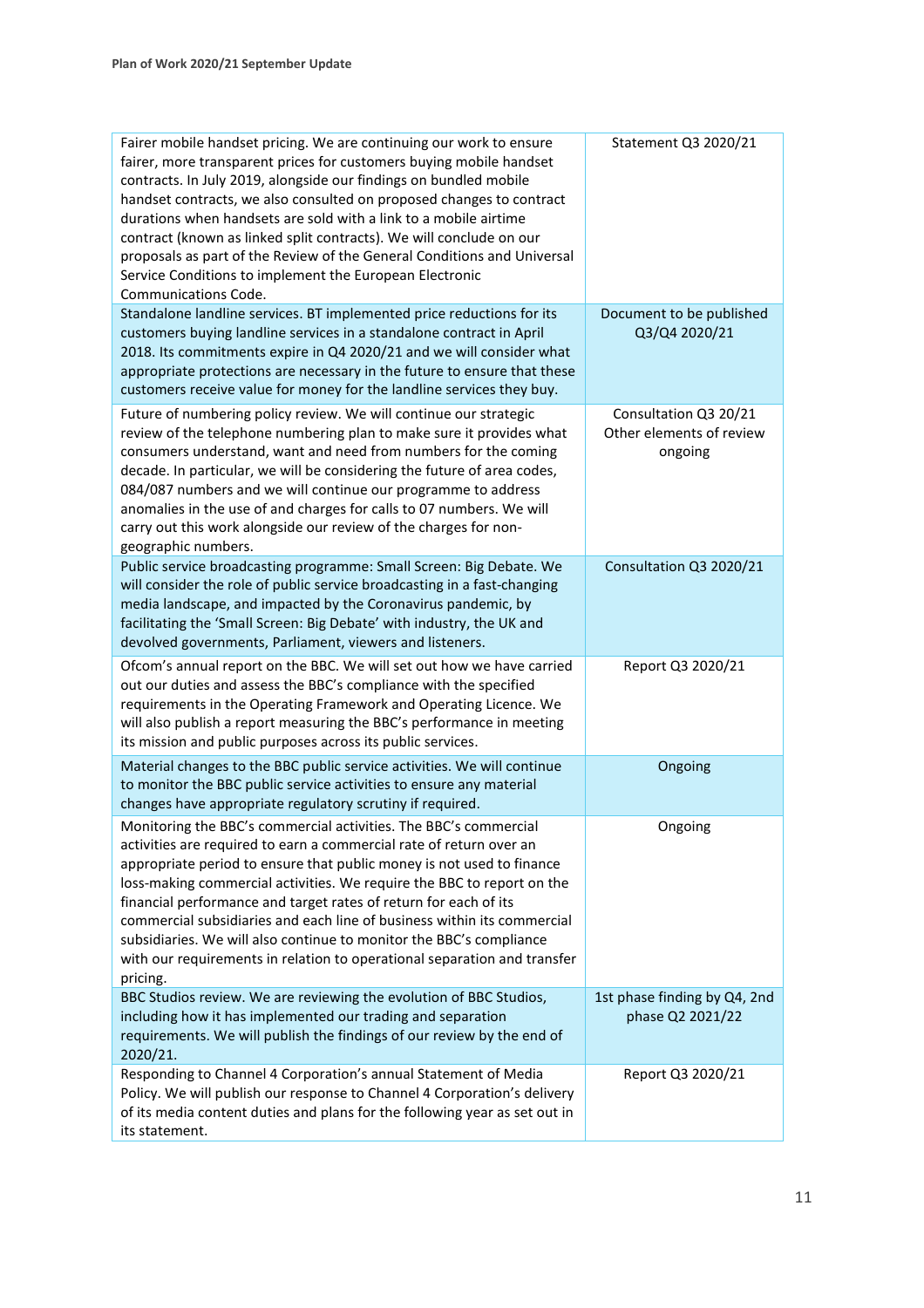| Fairer mobile handset pricing. We are continuing our work to ensure<br>fairer, more transparent prices for customers buying mobile handset<br>contracts. In July 2019, alongside our findings on bundled mobile<br>handset contracts, we also consulted on proposed changes to contract<br>durations when handsets are sold with a link to a mobile airtime<br>contract (known as linked split contracts). We will conclude on our<br>proposals as part of the Review of the General Conditions and Universal<br>Service Conditions to implement the European Electronic<br>Communications Code. | Statement Q3 2020/21                |
|--------------------------------------------------------------------------------------------------------------------------------------------------------------------------------------------------------------------------------------------------------------------------------------------------------------------------------------------------------------------------------------------------------------------------------------------------------------------------------------------------------------------------------------------------------------------------------------------------|-------------------------------------|
| Standalone landline services. BT implemented price reductions for its                                                                                                                                                                                                                                                                                                                                                                                                                                                                                                                            | Document to be published            |
| customers buying landline services in a standalone contract in April                                                                                                                                                                                                                                                                                                                                                                                                                                                                                                                             | Q3/Q4 2020/21                       |
| 2018. Its commitments expire in Q4 2020/21 and we will consider what                                                                                                                                                                                                                                                                                                                                                                                                                                                                                                                             |                                     |
| appropriate protections are necessary in the future to ensure that these                                                                                                                                                                                                                                                                                                                                                                                                                                                                                                                         |                                     |
| customers receive value for money for the landline services they buy.                                                                                                                                                                                                                                                                                                                                                                                                                                                                                                                            |                                     |
| Future of numbering policy review. We will continue our strategic                                                                                                                                                                                                                                                                                                                                                                                                                                                                                                                                | Consultation Q3 20/21               |
| review of the telephone numbering plan to make sure it provides what<br>consumers understand, want and need from numbers for the coming<br>decade. In particular, we will be considering the future of area codes,<br>084/087 numbers and we will continue our programme to address<br>anomalies in the use of and charges for calls to 07 numbers. We will<br>carry out this work alongside our review of the charges for non-<br>geographic numbers.                                                                                                                                           | Other elements of review<br>ongoing |
| Public service broadcasting programme: Small Screen: Big Debate. We                                                                                                                                                                                                                                                                                                                                                                                                                                                                                                                              | Consultation Q3 2020/21             |
| will consider the role of public service broadcasting in a fast-changing                                                                                                                                                                                                                                                                                                                                                                                                                                                                                                                         |                                     |
| media landscape, and impacted by the Coronavirus pandemic, by                                                                                                                                                                                                                                                                                                                                                                                                                                                                                                                                    |                                     |
| facilitating the 'Small Screen: Big Debate' with industry, the UK and                                                                                                                                                                                                                                                                                                                                                                                                                                                                                                                            |                                     |
| devolved governments, Parliament, viewers and listeners.                                                                                                                                                                                                                                                                                                                                                                                                                                                                                                                                         |                                     |
| Ofcom's annual report on the BBC. We will set out how we have carried<br>out our duties and assess the BBC's compliance with the specified<br>requirements in the Operating Framework and Operating Licence. We<br>will also publish a report measuring the BBC's performance in meeting<br>its mission and public purposes across its public services.                                                                                                                                                                                                                                          | Report Q3 2020/21                   |
| Material changes to the BBC public service activities. We will continue                                                                                                                                                                                                                                                                                                                                                                                                                                                                                                                          | Ongoing                             |
| to monitor the BBC public service activities to ensure any material                                                                                                                                                                                                                                                                                                                                                                                                                                                                                                                              |                                     |
| changes have appropriate regulatory scrutiny if required.                                                                                                                                                                                                                                                                                                                                                                                                                                                                                                                                        |                                     |
| Monitoring the BBC's commercial activities. The BBC's commercial                                                                                                                                                                                                                                                                                                                                                                                                                                                                                                                                 | Ongoing                             |
| activities are required to earn a commercial rate of return over an                                                                                                                                                                                                                                                                                                                                                                                                                                                                                                                              |                                     |
| appropriate period to ensure that public money is not used to finance                                                                                                                                                                                                                                                                                                                                                                                                                                                                                                                            |                                     |
| loss-making commercial activities. We require the BBC to report on the                                                                                                                                                                                                                                                                                                                                                                                                                                                                                                                           |                                     |
| financial performance and target rates of return for each of its                                                                                                                                                                                                                                                                                                                                                                                                                                                                                                                                 |                                     |
| commercial subsidiaries and each line of business within its commercial                                                                                                                                                                                                                                                                                                                                                                                                                                                                                                                          |                                     |
| subsidiaries. We will also continue to monitor the BBC's compliance                                                                                                                                                                                                                                                                                                                                                                                                                                                                                                                              |                                     |
| with our requirements in relation to operational separation and transfer                                                                                                                                                                                                                                                                                                                                                                                                                                                                                                                         |                                     |
| pricing.                                                                                                                                                                                                                                                                                                                                                                                                                                                                                                                                                                                         |                                     |
| BBC Studios review. We are reviewing the evolution of BBC Studios,                                                                                                                                                                                                                                                                                                                                                                                                                                                                                                                               | 1st phase finding by Q4, 2nd        |
| including how it has implemented our trading and separation                                                                                                                                                                                                                                                                                                                                                                                                                                                                                                                                      | phase Q2 2021/22                    |
| requirements. We will publish the findings of our review by the end of                                                                                                                                                                                                                                                                                                                                                                                                                                                                                                                           |                                     |
| 2020/21.                                                                                                                                                                                                                                                                                                                                                                                                                                                                                                                                                                                         |                                     |
| Responding to Channel 4 Corporation's annual Statement of Media                                                                                                                                                                                                                                                                                                                                                                                                                                                                                                                                  | Report Q3 2020/21                   |
| Policy. We will publish our response to Channel 4 Corporation's delivery                                                                                                                                                                                                                                                                                                                                                                                                                                                                                                                         |                                     |
| of its media content duties and plans for the following year as set out in                                                                                                                                                                                                                                                                                                                                                                                                                                                                                                                       |                                     |
| its statement.                                                                                                                                                                                                                                                                                                                                                                                                                                                                                                                                                                                   |                                     |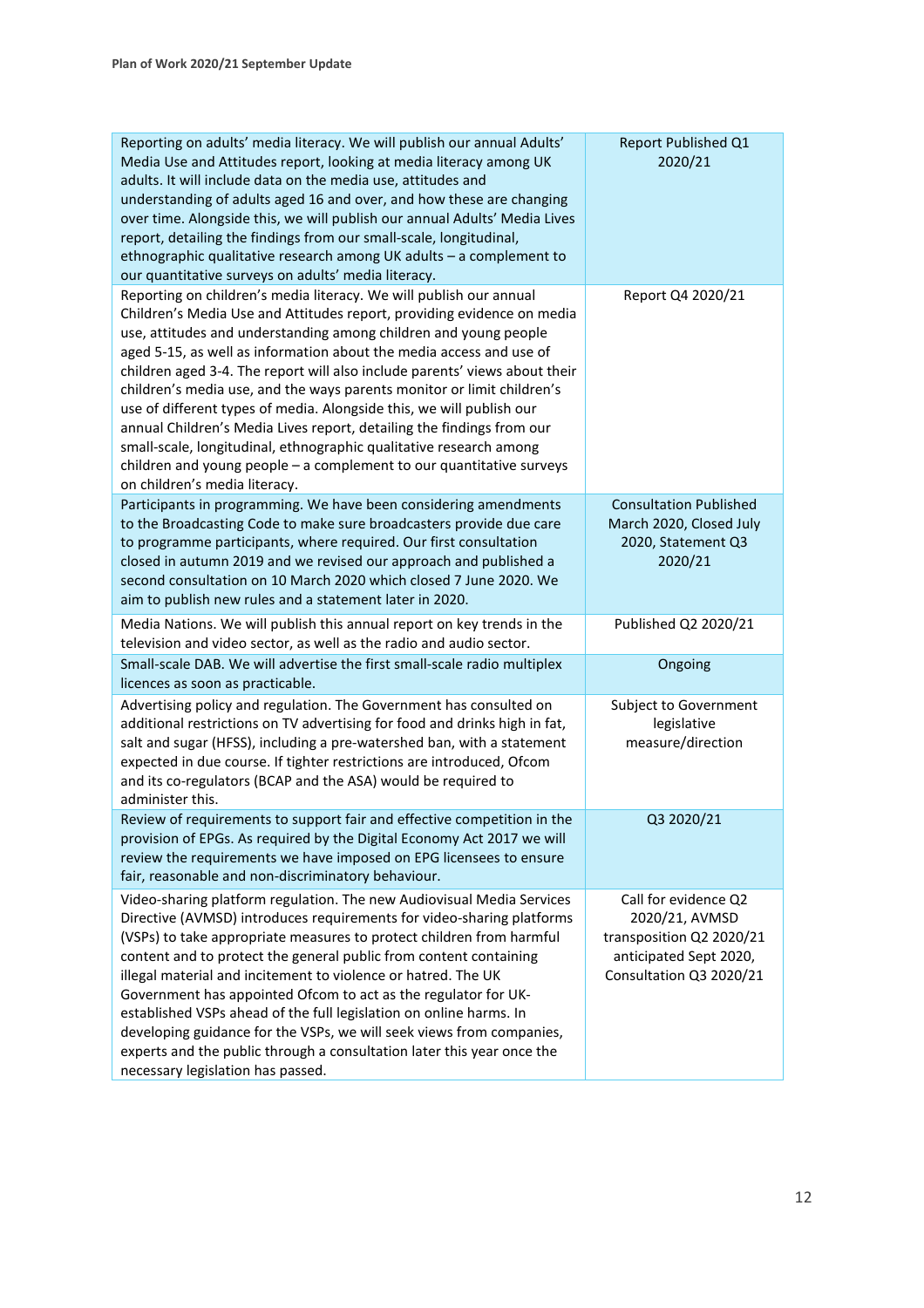| Reporting on adults' media literacy. We will publish our annual Adults'<br>Media Use and Attitudes report, looking at media literacy among UK<br>adults. It will include data on the media use, attitudes and<br>understanding of adults aged 16 and over, and how these are changing<br>over time. Alongside this, we will publish our annual Adults' Media Lives<br>report, detailing the findings from our small-scale, longitudinal,<br>ethnographic qualitative research among UK adults - a complement to<br>our quantitative surveys on adults' media literacy.                                                                                                                                                                                                          | Report Published Q1<br>2020/21                                                                                          |
|---------------------------------------------------------------------------------------------------------------------------------------------------------------------------------------------------------------------------------------------------------------------------------------------------------------------------------------------------------------------------------------------------------------------------------------------------------------------------------------------------------------------------------------------------------------------------------------------------------------------------------------------------------------------------------------------------------------------------------------------------------------------------------|-------------------------------------------------------------------------------------------------------------------------|
| Reporting on children's media literacy. We will publish our annual<br>Children's Media Use and Attitudes report, providing evidence on media<br>use, attitudes and understanding among children and young people<br>aged 5-15, as well as information about the media access and use of<br>children aged 3-4. The report will also include parents' views about their<br>children's media use, and the ways parents monitor or limit children's<br>use of different types of media. Alongside this, we will publish our<br>annual Children's Media Lives report, detailing the findings from our<br>small-scale, longitudinal, ethnographic qualitative research among<br>children and young people - a complement to our quantitative surveys<br>on children's media literacy. | Report Q4 2020/21                                                                                                       |
| Participants in programming. We have been considering amendments<br>to the Broadcasting Code to make sure broadcasters provide due care<br>to programme participants, where required. Our first consultation<br>closed in autumn 2019 and we revised our approach and published a<br>second consultation on 10 March 2020 which closed 7 June 2020. We<br>aim to publish new rules and a statement later in 2020.                                                                                                                                                                                                                                                                                                                                                               | <b>Consultation Published</b><br>March 2020, Closed July<br>2020, Statement Q3<br>2020/21                               |
| Media Nations. We will publish this annual report on key trends in the<br>television and video sector, as well as the radio and audio sector.                                                                                                                                                                                                                                                                                                                                                                                                                                                                                                                                                                                                                                   | Published Q2 2020/21                                                                                                    |
| Small-scale DAB. We will advertise the first small-scale radio multiplex<br>licences as soon as practicable.                                                                                                                                                                                                                                                                                                                                                                                                                                                                                                                                                                                                                                                                    | Ongoing                                                                                                                 |
| Advertising policy and regulation. The Government has consulted on<br>additional restrictions on TV advertising for food and drinks high in fat,<br>salt and sugar (HFSS), including a pre-watershed ban, with a statement<br>expected in due course. If tighter restrictions are introduced, Ofcom<br>and its co-regulators (BCAP and the ASA) would be required to<br>administer this.                                                                                                                                                                                                                                                                                                                                                                                        | Subject to Government<br>legislative<br>measure/direction                                                               |
| Review of requirements to support fair and effective competition in the<br>provision of EPGs. As required by the Digital Economy Act 2017 we will<br>review the requirements we have imposed on EPG licensees to ensure<br>fair, reasonable and non-discriminatory behaviour.                                                                                                                                                                                                                                                                                                                                                                                                                                                                                                   | Q3 2020/21                                                                                                              |
| Video-sharing platform regulation. The new Audiovisual Media Services<br>Directive (AVMSD) introduces requirements for video-sharing platforms<br>(VSPs) to take appropriate measures to protect children from harmful<br>content and to protect the general public from content containing<br>illegal material and incitement to violence or hatred. The UK<br>Government has appointed Ofcom to act as the regulator for UK-<br>established VSPs ahead of the full legislation on online harms. In<br>developing guidance for the VSPs, we will seek views from companies,<br>experts and the public through a consultation later this year once the<br>necessary legislation has passed.                                                                                     | Call for evidence Q2<br>2020/21, AVMSD<br>transposition Q2 2020/21<br>anticipated Sept 2020,<br>Consultation Q3 2020/21 |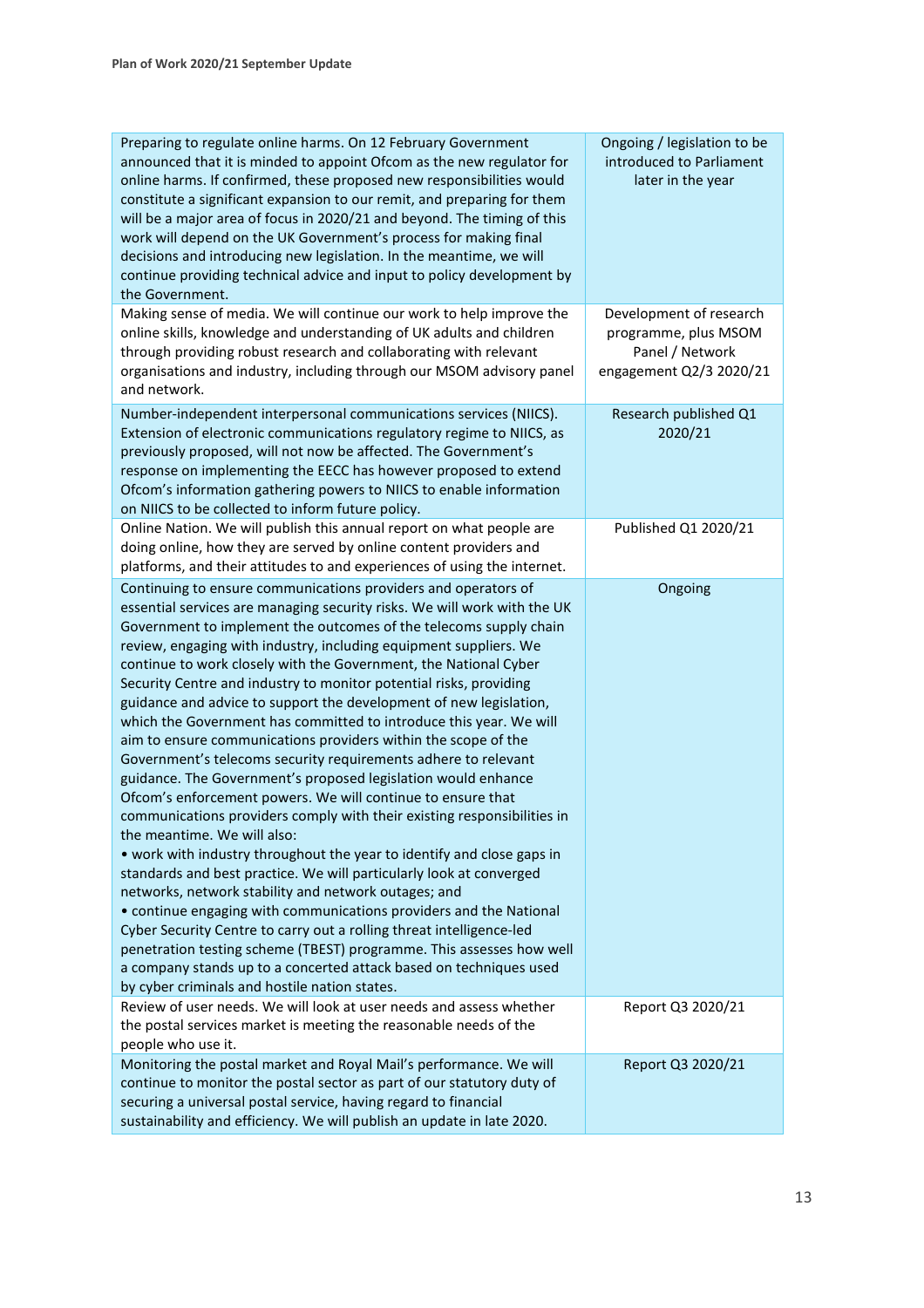| Preparing to regulate online harms. On 12 February Government<br>announced that it is minded to appoint Ofcom as the new regulator for<br>online harms. If confirmed, these proposed new responsibilities would<br>constitute a significant expansion to our remit, and preparing for them<br>will be a major area of focus in 2020/21 and beyond. The timing of this<br>work will depend on the UK Government's process for making final<br>decisions and introducing new legislation. In the meantime, we will<br>continue providing technical advice and input to policy development by<br>the Government.                                                                                                                                                                                                                                                                                                                                                                                                                                                                                                                                                                                                                                                                                                                                                                                                                                                                                                  | Ongoing / legislation to be<br>introduced to Parliament<br>later in the year                  |
|----------------------------------------------------------------------------------------------------------------------------------------------------------------------------------------------------------------------------------------------------------------------------------------------------------------------------------------------------------------------------------------------------------------------------------------------------------------------------------------------------------------------------------------------------------------------------------------------------------------------------------------------------------------------------------------------------------------------------------------------------------------------------------------------------------------------------------------------------------------------------------------------------------------------------------------------------------------------------------------------------------------------------------------------------------------------------------------------------------------------------------------------------------------------------------------------------------------------------------------------------------------------------------------------------------------------------------------------------------------------------------------------------------------------------------------------------------------------------------------------------------------|-----------------------------------------------------------------------------------------------|
| Making sense of media. We will continue our work to help improve the<br>online skills, knowledge and understanding of UK adults and children<br>through providing robust research and collaborating with relevant<br>organisations and industry, including through our MSOM advisory panel<br>and network.                                                                                                                                                                                                                                                                                                                                                                                                                                                                                                                                                                                                                                                                                                                                                                                                                                                                                                                                                                                                                                                                                                                                                                                                     | Development of research<br>programme, plus MSOM<br>Panel / Network<br>engagement Q2/3 2020/21 |
| Number-independent interpersonal communications services (NIICS).<br>Extension of electronic communications regulatory regime to NIICS, as<br>previously proposed, will not now be affected. The Government's<br>response on implementing the EECC has however proposed to extend<br>Ofcom's information gathering powers to NIICS to enable information<br>on NIICS to be collected to inform future policy.                                                                                                                                                                                                                                                                                                                                                                                                                                                                                                                                                                                                                                                                                                                                                                                                                                                                                                                                                                                                                                                                                                  | Research published Q1<br>2020/21                                                              |
| Online Nation. We will publish this annual report on what people are<br>doing online, how they are served by online content providers and<br>platforms, and their attitudes to and experiences of using the internet.                                                                                                                                                                                                                                                                                                                                                                                                                                                                                                                                                                                                                                                                                                                                                                                                                                                                                                                                                                                                                                                                                                                                                                                                                                                                                          | Published Q1 2020/21                                                                          |
| Continuing to ensure communications providers and operators of<br>essential services are managing security risks. We will work with the UK<br>Government to implement the outcomes of the telecoms supply chain<br>review, engaging with industry, including equipment suppliers. We<br>continue to work closely with the Government, the National Cyber<br>Security Centre and industry to monitor potential risks, providing<br>guidance and advice to support the development of new legislation,<br>which the Government has committed to introduce this year. We will<br>aim to ensure communications providers within the scope of the<br>Government's telecoms security requirements adhere to relevant<br>guidance. The Government's proposed legislation would enhance<br>Ofcom's enforcement powers. We will continue to ensure that<br>communications providers comply with their existing responsibilities in<br>the meantime. We will also:<br>• work with industry throughout the year to identify and close gaps in<br>standards and best practice. We will particularly look at converged<br>networks, network stability and network outages; and<br>• continue engaging with communications providers and the National<br>Cyber Security Centre to carry out a rolling threat intelligence-led<br>penetration testing scheme (TBEST) programme. This assesses how well<br>a company stands up to a concerted attack based on techniques used<br>by cyber criminals and hostile nation states. | Ongoing                                                                                       |
| Review of user needs. We will look at user needs and assess whether<br>the postal services market is meeting the reasonable needs of the<br>people who use it.                                                                                                                                                                                                                                                                                                                                                                                                                                                                                                                                                                                                                                                                                                                                                                                                                                                                                                                                                                                                                                                                                                                                                                                                                                                                                                                                                 | Report Q3 2020/21                                                                             |
| Monitoring the postal market and Royal Mail's performance. We will<br>continue to monitor the postal sector as part of our statutory duty of<br>securing a universal postal service, having regard to financial<br>sustainability and efficiency. We will publish an update in late 2020.                                                                                                                                                                                                                                                                                                                                                                                                                                                                                                                                                                                                                                                                                                                                                                                                                                                                                                                                                                                                                                                                                                                                                                                                                      | Report Q3 2020/21                                                                             |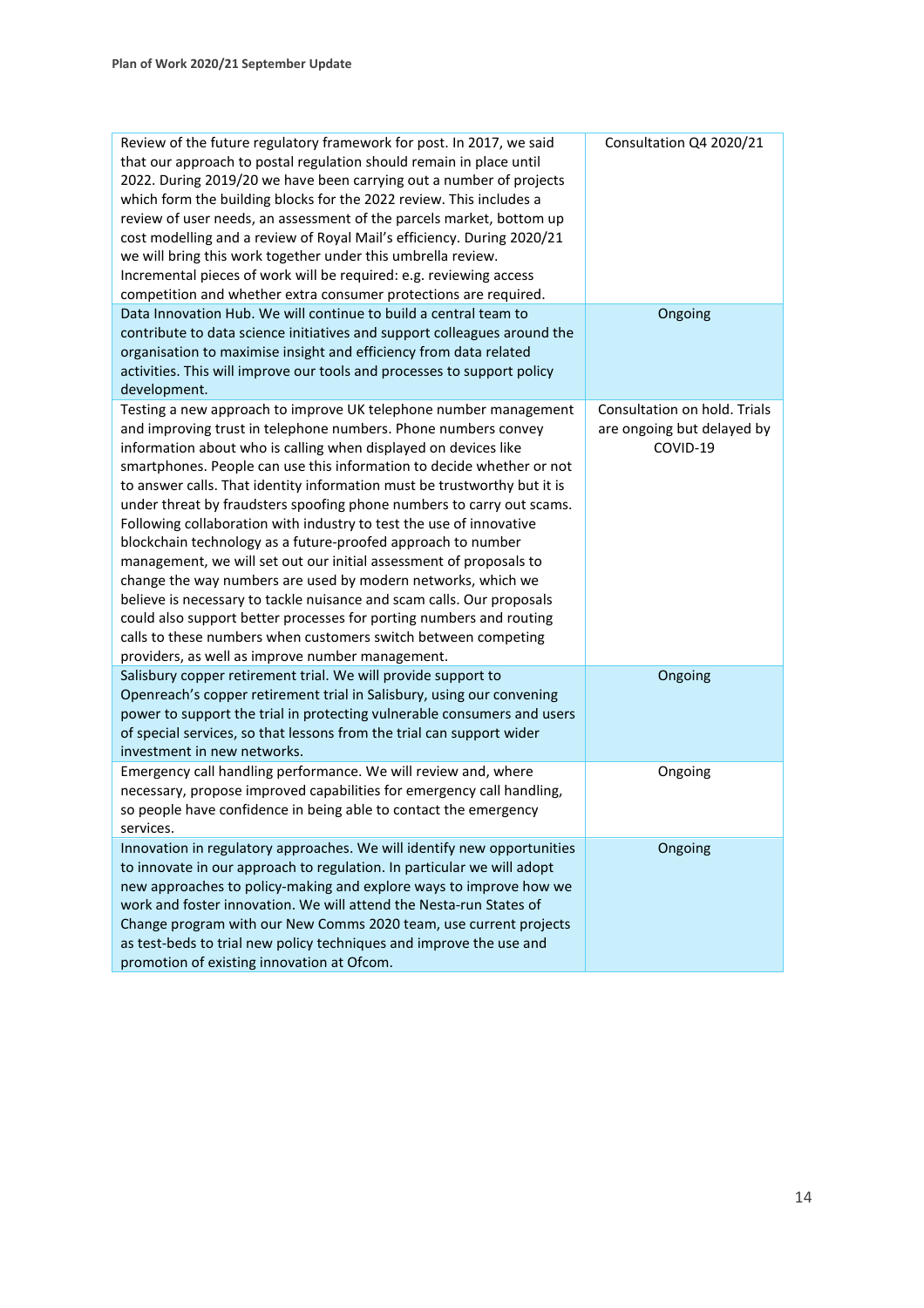| Review of the future regulatory framework for post. In 2017, we said<br>that our approach to postal regulation should remain in place until<br>2022. During 2019/20 we have been carrying out a number of projects<br>which form the building blocks for the 2022 review. This includes a<br>review of user needs, an assessment of the parcels market, bottom up<br>cost modelling and a review of Royal Mail's efficiency. During 2020/21<br>we will bring this work together under this umbrella review.<br>Incremental pieces of work will be required: e.g. reviewing access<br>competition and whether extra consumer protections are required.                                                                                                                                                                                                                                                                                                                                  | Consultation Q4 2020/21                                                |
|----------------------------------------------------------------------------------------------------------------------------------------------------------------------------------------------------------------------------------------------------------------------------------------------------------------------------------------------------------------------------------------------------------------------------------------------------------------------------------------------------------------------------------------------------------------------------------------------------------------------------------------------------------------------------------------------------------------------------------------------------------------------------------------------------------------------------------------------------------------------------------------------------------------------------------------------------------------------------------------|------------------------------------------------------------------------|
| Data Innovation Hub. We will continue to build a central team to<br>contribute to data science initiatives and support colleagues around the<br>organisation to maximise insight and efficiency from data related<br>activities. This will improve our tools and processes to support policy<br>development.                                                                                                                                                                                                                                                                                                                                                                                                                                                                                                                                                                                                                                                                           | Ongoing                                                                |
| Testing a new approach to improve UK telephone number management<br>and improving trust in telephone numbers. Phone numbers convey<br>information about who is calling when displayed on devices like<br>smartphones. People can use this information to decide whether or not<br>to answer calls. That identity information must be trustworthy but it is<br>under threat by fraudsters spoofing phone numbers to carry out scams.<br>Following collaboration with industry to test the use of innovative<br>blockchain technology as a future-proofed approach to number<br>management, we will set out our initial assessment of proposals to<br>change the way numbers are used by modern networks, which we<br>believe is necessary to tackle nuisance and scam calls. Our proposals<br>could also support better processes for porting numbers and routing<br>calls to these numbers when customers switch between competing<br>providers, as well as improve number management. | Consultation on hold. Trials<br>are ongoing but delayed by<br>COVID-19 |
| Salisbury copper retirement trial. We will provide support to<br>Openreach's copper retirement trial in Salisbury, using our convening<br>power to support the trial in protecting vulnerable consumers and users<br>of special services, so that lessons from the trial can support wider<br>investment in new networks.                                                                                                                                                                                                                                                                                                                                                                                                                                                                                                                                                                                                                                                              | Ongoing                                                                |
| Emergency call handling performance. We will review and, where<br>necessary, propose improved capabilities for emergency call handling,<br>so people have confidence in being able to contact the emergency<br>services.                                                                                                                                                                                                                                                                                                                                                                                                                                                                                                                                                                                                                                                                                                                                                               | Ongoing                                                                |
| Innovation in regulatory approaches. We will identify new opportunities<br>to innovate in our approach to regulation. In particular we will adopt<br>new approaches to policy-making and explore ways to improve how we<br>work and foster innovation. We will attend the Nesta-run States of<br>Change program with our New Comms 2020 team, use current projects<br>as test-beds to trial new policy techniques and improve the use and<br>promotion of existing innovation at Ofcom.                                                                                                                                                                                                                                                                                                                                                                                                                                                                                                | Ongoing                                                                |